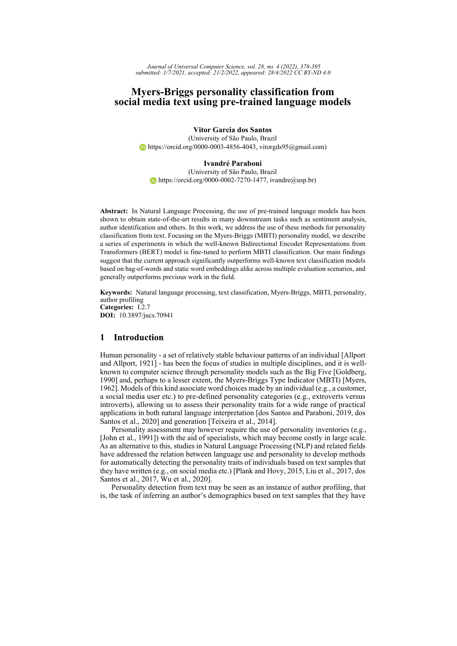*Journal of Universal Computer Science, vol. 28, no. 4 (2022), 378-395 submitted: 1/7/2021, accepted: 21/2/2022, appeared: 28/4/2022 CC BY-ND 4.0*

# **Myers-Briggs personality classification from social media text using pre-trained language models**

**Vitor Garcia dos Santos** (University of São Paulo, Brazil [https://orcid.org/0000-0003-4856-4043,](https://orcid.org/0000-0003-4856-4043) vitorgds95@gmail.com)

### **Ivandré Paraboni**

(University of São Paulo, Brazil  $\bullet$  [https://orcid.org/0000-0002-7270-1477,](https://orcid.org/0000-0002-7270-1477) ivandre@usp.br)

**Abstract:** In Natural Language Processing, the use of pre-trained language models has been shown to obtain state-of-the-art results in many downstream tasks such as sentiment analysis, author identification and others. In this work, we address the use of these methods for personality classification from text. Focusing on the Myers-Briggs (MBTI) personality model, we describe a series of experiments in which the well-known Bidirectional Encoder Representations from Transformers (BERT) model is fine-tuned to perform MBTI classification. Our main findings suggest that the current approach significantly outperforms well-known text classification models based on bag-of-words and static word embeddings alike across multiple evaluation scenarios, and generally outperforms previous work in the field.

**Keywords:** Natural language processing, text classification, Myers-Briggs, MBTI, personality, author profiling **Categories:** I.2.7 **DOI:** 10.3897/jucs.70941

### **1 Introduction**

Human personality - a set of relatively stable behaviour patterns of an individual [\[Allport](#page-14-0) [and Allport, 1921\]](#page-14-0) - has been the focus of studies in multiple disciplines, and it is wellknown to computer science through personality models such as the Big Five [\[Goldberg,](#page-15-0) [1990\]](#page-15-0) and, perhaps to a lesser extent, the Myers-Briggs Type Indicator (MBTI) [\[Myers,](#page-16-0) [1962\]](#page-16-0). Models of this kind associate word choices made by an individual (e.g., a customer, a social media user etc.) to pre-defined personality categories (e.g., extroverts versus introverts), allowing us to assess their personality traits for a wide range of practical applications in both natural language interpretation [\[dos Santos and Paraboni, 2019,](#page-15-1) [dos](#page-15-2) [Santos et al., 2020\]](#page-15-2) and generation [\[Teixeira et al., 2014\]](#page-17-0).

Personality assessment may however require the use of personality inventories (e.g., [\[John et al., 1991\]](#page-15-3)) with the aid of specialists, which may become costly in large scale. As an alternative to this, studies in Natural Language Processing (NLP) and related fields have addressed the relation between language use and personality to develop methods for automatically detecting the personality traits of individuals based on text samples that they have written (e.g., on social media etc.) [\[Plank and Hovy, 2015,](#page-16-1) [Liu et al., 2017,](#page-15-4) [dos](#page-15-5) [Santos et al., 2017,](#page-15-5) [Wu et al., 2020\]](#page-17-1).

Personality detection from text may be seen as an instance of author profiling, that is, the task of inferring an author's demographics based on text samples that they have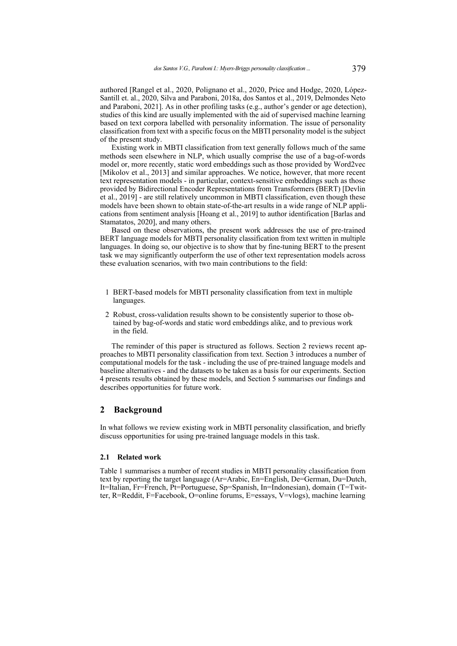authored [\[Rangel et al., 2020,](#page-16-2) [Polignano et al., 2020,](#page-16-3) [Price and Hodge, 2020,](#page-16-4) [López-](#page-16-5)[Santill et. al., 2020,](#page-16-5) [Silva and Paraboni, 2018a,](#page-16-6) [dos Santos et al., 2019,](#page-15-6) [Delmondes Neto](#page-14-1) [and Paraboni, 2021\]](#page-14-1). As in other profiling tasks (e.g., author's gender or age detection), studies of this kind are usually implemented with the aid of supervised machine learning based on text corpora labelled with personality information. The issue of personality classification from text with a specific focus on the MBTI personality model is the subject of the present study.

Existing work in MBTI classification from text generally follows much of the same methods seen elsewhere in NLP, which usually comprise the use of a bag-of-words model or, more recently, static word embeddings such as those provided by Word2vec [\[Mikolov et al., 2013\]](#page-16-7) and similar approaches. We notice, however, that more recent text representation models - in particular, context-sensitive embeddings such as those provided by Bidirectional Encoder Representations from Transformers (BERT) [\[Devlin](#page-15-7) [et al., 2019\]](#page-15-7) - are still relatively uncommon in MBTI classification, even though these models have been shown to obtain state-of-the-art results in a wide range of NLP applications from sentiment analysis [\[Hoang et al., 2019\]](#page-15-8) to author identification [\[Barlas and](#page-14-2) [Stamatatos, 2020\]](#page-14-2), and many others.

Based on these observations, the present work addresses the use of pre-trained BERT language models for MBTI personality classification from text written in multiple languages. In doing so, our objective is to show that by fine-tuning BERT to the present task we may significantly outperform the use of other text representation models across these evaluation scenarios, with two main contributions to the field:

- 1 BERT-based models for MBTI personality classification from text in multiple languages.
- 2 Robust, cross-validation results shown to be consistently superior to those obtained by bag-of-words and static word embeddings alike, and to previous work in the field.

The reminder of this paper is structured as follows. Section [2](#page-1-0) reviews recent approaches to MBTI personality classification from text. Section [3](#page-4-0) introduces a number of computational models for the task - including the use of pre-trained language models and baseline alternatives - and the datasets to be taken as a basis for our experiments. Section [4](#page-7-0) presents results obtained by these models, and Section [5](#page-11-0) summarises our findings and describes opportunities for future work.

## <span id="page-1-0"></span>**2 Background**

In what follows we review existing work in MBTI personality classification, and briefly discuss opportunities for using pre-trained language models in this task.

### **2.1 Related work**

Table [1](#page-2-0) summarises a number of recent studies in MBTI personality classification from text by reporting the target language (Ar=Arabic, En=English, De=German, Du=Dutch, It=Italian, Fr=French, Pt=Portuguese, Sp=Spanish, In=Indonesian), domain (T=Twitter, R=Reddit, F=Facebook, O=online forums, E=essays, V=vlogs), machine learning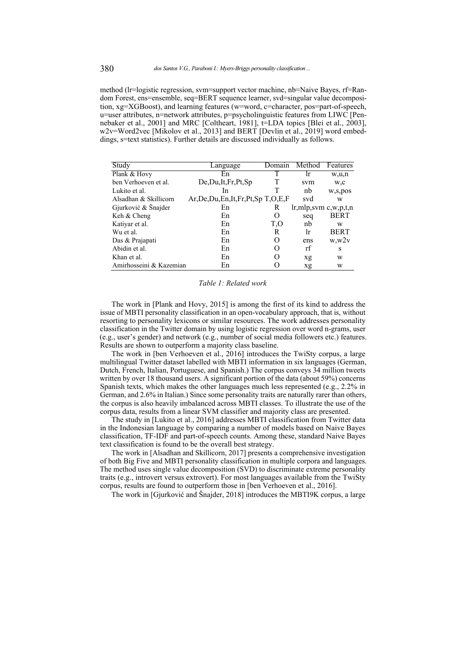method (lr=logistic regression, svm=support vector machine, nb=Naive Bayes, rf=Random Forest, ens=ensemble, seq=BERT sequence learner, svd=singular value decomposition, xg=XGBoost), and learning features (w=word, c=character, pos=part-of-speech, u=user attributes, n=network attributes, p=psycholinguistic features from LIWC [\[Pen](#page-16-8)[nebaker et al., 2001\]](#page-16-8) and MRC [\[Coltheart, 1981\]](#page-14-3), t=LDA topics [\[Blei et al., 2003\]](#page-14-4), w2v=Word2vec [\[Mikolov et al., 2013\]](#page-16-7) and BERT [\[Devlin et al., 2019\]](#page-15-7) word embeddings, s=text statistics). Further details are discussed individually as follows.

<span id="page-2-0"></span>

| Study                   | Language                                  | Domain | Method                 | Features    |
|-------------------------|-------------------------------------------|--------|------------------------|-------------|
| Plank & Hovy            | En                                        |        | Ir                     | w,u,n       |
| ben Verhoeven et al.    | De, Du, It, Fr, Pt, Sp                    |        | svm                    | w,c         |
| Lukito et al.           | In                                        |        | nb                     | w,s,pos     |
| Alsadhan & Skillicorn   | Ar, De, Du, En, It, Fr, Pt, Sp T, O, E, F |        | svd                    | W           |
| Gjurković & Šnajder     | En                                        | R      | $lr,mlp,svm$ c,w,p,t,n |             |
| Keh & Cheng             | En                                        | 0      | seq                    | <b>BERT</b> |
| Katiyar et al.          | En                                        | T.O    | nb                     | W           |
| Wu et al.               | En                                        | R      | lr                     | <b>BERT</b> |
| Das & Prajapati         | En                                        |        | ens                    | w, w2v      |
| Abidin et al.           | En                                        |        | rf                     | S           |
| Khan et al.             | En                                        |        | xg                     | W           |
| Amirhosseini & Kazemian | En                                        |        | xg                     | W           |

#### *Table 1: Related work*

The work in [\[Plank and Hovy, 2015\]](#page-16-1) is among the first of its kind to address the issue of MBTI personality classification in an open-vocabulary approach, that is, without resorting to personality lexicons or similar resources. The work addresses personality classification in the Twitter domain by using logistic regression over word n-grams, user (e.g., user's gender) and network (e.g., number of social media followers etc.) features. Results are shown to outperform a majority class baseline.

The work in [\[ben Verhoeven et al., 2016\]](#page-14-5) introduces the TwiSty corpus, a large multilingual Twitter dataset labelled with MBTI information in six languages (German, Dutch, French, Italian, Portuguese, and Spanish.) The corpus conveys 34 million tweets written by over 18 thousand users. A significant portion of the data (about 59%) concerns Spanish texts, which makes the other languages much less represented (e.g., 2.2% in German, and 2.6% in Italian.) Since some personality traits are naturally rarer than others, the corpus is also heavily imbalanced across MBTI classes. To illustrate the use of the corpus data, results from a linear SVM classifier and majority class are presented.

The study in [\[Lukito et al., 2016\]](#page-16-9) addresses MBTI classification from Twitter data in the Indonesian language by comparing a number of models based on Naive Bayes classification, TF-IDF and part-of-speech counts. Among these, standard Naive Bayes text classification is found to be the overall best strategy.

The work in [\[Alsadhan and Skillicorn, 2017\]](#page-14-6) presents a comprehensive investigation of both Big Five and MBTI personality classification in multiple corpora and languages. The method uses single value decomposition (SVD) to discriminate extreme personality traits (e.g., introvert versus extrovert). For most languages available from the TwiSty corpus, results are found to outperform those in [\[ben Verhoeven et al., 2016\]](#page-14-5).

The work in [\[Gjurković and Šnajder, 2018\]](#page-15-9) introduces the MBTI9K corpus, a large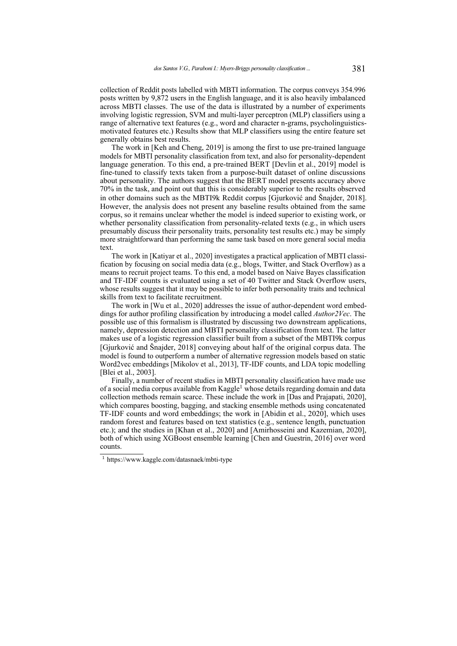collection of Reddit posts labelled with MBTI information. The corpus conveys 354.996 posts written by 9,872 users in the English language, and it is also heavily imbalanced across MBTI classes. The use of the data is illustrated by a number of experiments involving logistic regression, SVM and multi-layer perceptron (MLP) classifiers using a range of alternative text features (e.g., word and character n-grams, psycholinguisticsmotivated features etc.) Results show that MLP classifiers using the entire feature set generally obtains best results.

The work in [\[Keh and Cheng, 2019\]](#page-15-10) is among the first to use pre-trained language models for MBTI personality classification from text, and also for personality-dependent language generation. To this end, a pre-trained BERT [\[Devlin et al., 2019\]](#page-15-7) model is fine-tuned to classify texts taken from a purpose-built dataset of online discussions about personality. The authors suggest that the BERT model presents accuracy above 70% in the task, and point out that this is considerably superior to the results observed in other domains such as the MBTI9k Reddit corpus [\[Gjurković and Šnajder, 2018\]](#page-15-9). However, the analysis does not present any baseline results obtained from the same corpus, so it remains unclear whether the model is indeed superior to existing work, or whether personality classification from personality-related texts (e.g., in which users presumably discuss their personality traits, personality test results etc.) may be simply more straightforward than performing the same task based on more general social media text.

The work in [\[Katiyar et al., 2020\]](#page-15-11) investigates a practical application of MBTI classification by focusing on social media data (e.g., blogs, Twitter, and Stack Overflow) as a means to recruit project teams. To this end, a model based on Naive Bayes classification and TF-IDF counts is evaluated using a set of 40 Twitter and Stack Overflow users, whose results suggest that it may be possible to infer both personality traits and technical skills from text to facilitate recruitment.

The work in [\[Wu et al., 2020\]](#page-17-1) addresses the issue of author-dependent word embeddings for author profiling classification by introducing a model called *Author2Vec*. The possible use of this formalism is illustrated by discussing two downstream applications, namely, depression detection and MBTI personality classification from text. The latter makes use of a logistic regression classifier built from a subset of the MBTI9k corpus [\[Gjurković and Šnajder, 2018\]](#page-15-9) conveying about half of the original corpus data. The model is found to outperform a number of alternative regression models based on static Word2vec embeddings [\[Mikolov et al., 2013\]](#page-16-7), TF-IDF counts, and LDA topic modelling [\[Blei et al., 2003\]](#page-14-4).

Finally, a number of recent studies in MBTI personality classification have made use of a social media corpus available from Kaggle<sup>[1](#page-17-2)</sup> whose details regarding domain and data collection methods remain scarce. These include the work in [\[Das and Prajapati, 2020\]](#page-14-7), which compares boosting, bagging, and stacking ensemble methods using concatenated TF-IDF counts and word embeddings; the work in [\[Abidin et al., 2020\]](#page-14-8), which uses random forest and features based on text statistics (e.g., sentence length, punctuation etc.); and the studies in [\[Khan et al., 2020\]](#page-15-12) and [\[Amirhosseini and Kazemian, 2020\]](#page-14-9), both of which using XGBoost ensemble learning [\[Chen and Guestrin, 2016\]](#page-14-10) over word counts.

<sup>1</sup> https://www.kaggle.com/datasnaek/mbti-type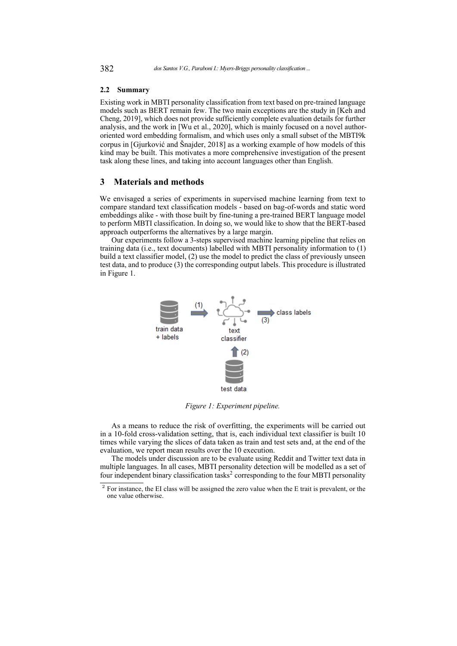#### **2.2 Summary**

Existing work in MBTI personality classification from text based on pre-trained language models such as BERT remain few. The two main exceptions are the study in [\[Keh and](#page-15-10) [Cheng, 2019\]](#page-15-10), which does not provide sufficiently complete evaluation details for further analysis, and the work in [\[Wu et al., 2020\]](#page-17-1), which is mainly focused on a novel authororiented word embedding formalism, and which uses only a small subset of the MBTI9k corpus in [\[Gjurković and Šnajder, 2018\]](#page-15-9) as a working example of how models of this kind may be built. This motivates a more comprehensive investigation of the present task along these lines, and taking into account languages other than English.

## <span id="page-4-0"></span>**3 Materials and methods**

We envisaged a series of experiments in supervised machine learning from text to compare standard text classification models - based on bag-of-words and static word embeddings alike - with those built by fine-tuning a pre-trained BERT language model to perform MBTI classification. In doing so, we would like to show that the BERT-based approach outperforms the alternatives by a large margin.

Our experiments follow a 3-steps supervised machine learning pipeline that relies on training data (i.e., text documents) labelled with MBTI personality information to (1) build a text classifier model, (2) use the model to predict the class of previously unseen test data, and to produce (3) the corresponding output labels. This procedure is illustrated in Figure [1.](#page-4-1)

<span id="page-4-1"></span>

*Figure 1: Experiment pipeline.*

As a means to reduce the risk of overfitting, the experiments will be carried out in a 10-fold cross-validation setting, that is, each individual text classifier is built 10 times while varying the slices of data taken as train and test sets and, at the end of the evaluation, we report mean results over the 10 execution.

The models under discussion are to be evaluate using Reddit and Twitter text data in multiple languages. In all cases, MBTI personality detection will be modelled as a set of four independent binary classification tasks<sup>[2](#page-17-2)</sup> corresponding to the four MBTI personality

 $2^2$  For instance, the EI class will be assigned the zero value when the E trait is prevalent, or the one value otherwise.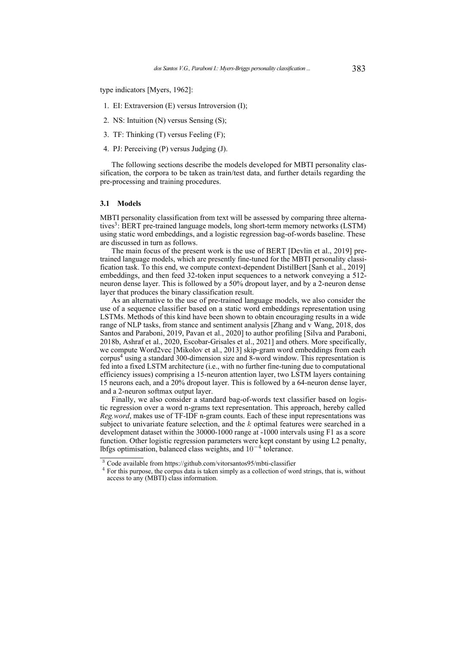type indicators [\[Myers, 1962\]](#page-16-0):

- 1. EI: Extraversion (E) versus Introversion (I);
- 2. NS: Intuition (N) versus Sensing (S);
- 3. TF: Thinking (T) versus Feeling (F);
- 4. PJ: Perceiving (P) versus Judging (J).

The following sections describe the models developed for MBTI personality classification, the corpora to be taken as train/test data, and further details regarding the pre-processing and training procedures.

#### **3.1 Models**

MBTI personality classification from text will be assessed by comparing three alterna-tives<sup>[3](#page-17-2)</sup>: BERT pre-trained language models, long short-term memory networks (LSTM) using static word embeddings, and a logistic regression bag-of-words baseline. These are discussed in turn as follows.

The main focus of the present work is the use of BERT [\[Devlin et al., 2019\]](#page-15-7) pretrained language models, which are presently fine-tuned for the MBTI personality classification task. To this end, we compute context-dependent DistilBert [\[Sanh et al., 2019\]](#page-16-10) embeddings, and then feed 32-token input sequences to a network conveying a 512 neuron dense layer. This is followed by a 50% dropout layer, and by a 2-neuron dense layer that produces the binary classification result.

As an alternative to the use of pre-trained language models, we also consider the use of a sequence classifier based on a static word embeddings representation using LSTMs. Methods of this kind have been shown to obtain encouraging results in a wide range of NLP tasks, from stance and sentiment analysis [\[Zhang and v Wang, 2018,](#page-17-3) [dos](#page-15-1) [Santos and Paraboni, 2019,](#page-15-1) [Pavan et al., 2020\]](#page-16-11) to author profiling [\[Silva and Paraboni,](#page-16-12) [2018b,](#page-16-12) [Ashraf et al., 2020,](#page-14-11) [Escobar-Grisales et al., 2021\]](#page-15-13) and others. More specifically, we compute Word2vec [\[Mikolov et al., 2013\]](#page-16-7) skip-gram word embeddings from each corpus<sup>[4](#page-17-2)</sup> using a standard 300-dimension size and 8-word window. This representation is fed into a fixed LSTM architecture (i.e., with no further fine-tuning due to computational efficiency issues) comprising a 15-neuron attention layer, two LSTM layers containing 15 neurons each, and a 20% dropout layer. This is followed by a 64-neuron dense layer, and a 2-neuron softmax output layer.

Finally, we also consider a standard bag-of-words text classifier based on logistic regression over a word n-grams text representation. This approach, hereby called *Reg.word*, makes use of TF-IDF n-gram counts. Each of these input representations was subject to univariate feature selection, and the k optimal features were searched in a development dataset within the 30000-1000 range at -1000 intervals using F1 as a score function. Other logistic regression parameters were kept constant by using L2 penalty, lbfgs optimisation, balanced class weights, and 10−<sup>4</sup> tolerance.

<sup>3</sup> Code available from https://github.com/vitorsantos95/mbti-classifier

<sup>&</sup>lt;sup>4</sup> For this purpose, the corpus data is taken simply as a collection of word strings, that is, without access to any (MBTI) class information.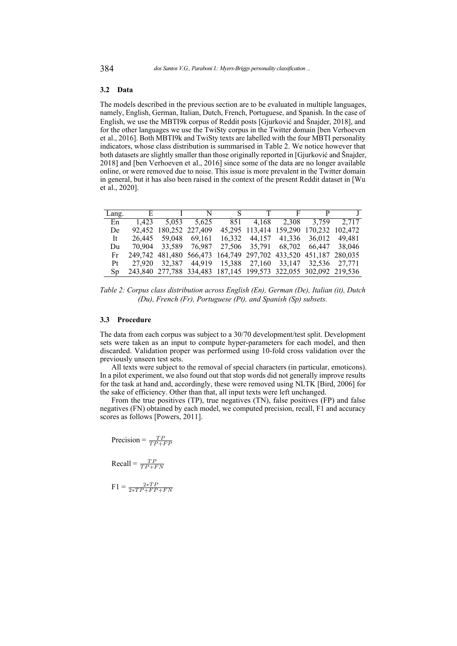#### **3.2 Data**

The models described in the previous section are to be evaluated in multiple languages, namely, English, German, Italian, Dutch, French, Portuguese, and Spanish. In the case of English, we use the MBTI9k corpus of Reddit posts [\[Gjurković and Šnajder, 2018\]](#page-15-9), and for the other languages we use the TwiSty corpus in the Twitter domain [\[ben Verhoeven](#page-14-5) [et al., 2016\]](#page-14-5). Both MBTI9k and TwiSty texts are labelled with the four MBTI personality indicators, whose class distribution is summarised in Table [2.](#page-6-0) We notice however that both datasets are slightly smaller than those originally reported in [\[Gjurković and Šnajder,](#page-15-9) [2018\]](#page-15-9) and [\[ben Verhoeven et al., 2016\]](#page-14-5) since some of the data are no longer available online, or were removed due to noise. This issue is more prevalent in the Twitter domain in general, but it has also been raised in the context of the present Reddit dataset in [\[Wu](#page-17-1) [et al., 2020\]](#page-17-1).

<span id="page-6-0"></span>

| Lang. |                        | E INST FP J                                                     |  |                                        |        |
|-------|------------------------|-----------------------------------------------------------------|--|----------------------------------------|--------|
| En    |                        | 1,423 5,053 5,625                                               |  | 851 4,168 2,308 3,759 2,717            |        |
| De    | 92,452 180,252 227,409 |                                                                 |  | 45,295 113,414 159,290 170,232 102,472 |        |
| It    |                        | 26,445 59,048 69,161                                            |  | 16,332 44,157 41,336 36,012            | 49.481 |
| Du    | 70,904 33,589 76,987   |                                                                 |  | 27,506 35,791 68,702 66,447 38,046     |        |
| Fr    |                        | 249,742 481,480 566,473 164,749 297,702 433,520 451,187 280,035 |  |                                        |        |
| Pt    |                        | 27,920 32,387 44,919 15,388 27,160 33,147 32,536 27,771         |  |                                        |        |
| Sp.   |                        | 243,840 277,788 334,483 187,145 199,573 322,055 302,092 219,536 |  |                                        |        |

*Table 2: Corpus class distribution across English (En), German (De), Italian (it), Dutch (Du), French (Fr), Portuguese (Pt), and Spanish (Sp) subsets.*

#### **3.3 Procedure**

The data from each corpus was subject to a 30/70 development/test split. Development sets were taken as an input to compute hyper-parameters for each model, and then discarded. Validation proper was performed using 10-fold cross validation over the previously unseen test sets.

All texts were subject to the removal of special characters (in particular, emoticons). In a pilot experiment, we also found out that stop words did not generally improve results for the task at hand and, accordingly, these were removed using NLTK [\[Bird, 2006\]](#page-14-12) for the sake of efficiency. Other than that, all input texts were left unchanged.

From the true positives (TP), true negatives (TN), false positives (FP) and false negatives (FN) obtained by each model, we computed precision, recall, F1 and accuracy scores as follows [\[Powers, 2011\]](#page-16-13).

Precision =  $\frac{TP}{TP+FP}$ 

 $Recall = \frac{TP}{TP + FN}$ 

 $F1 = \frac{2*TP}{2*TP + FP + FN}$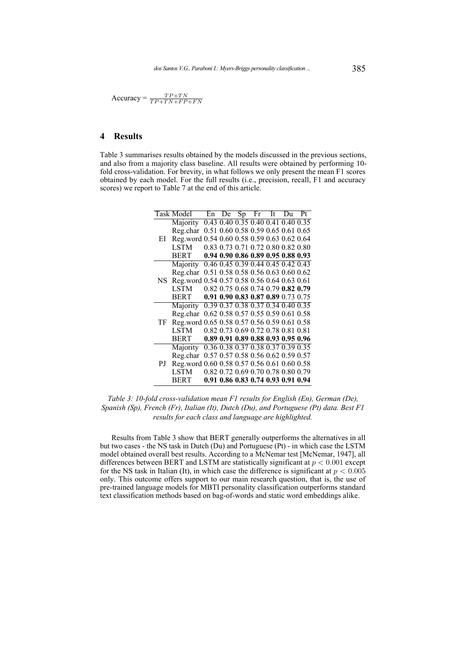$$
Accuracy = \frac{TP + TN}{TP + TN + FP + FN}
$$

# <span id="page-7-0"></span>**4 Results**

Table [3](#page-7-1) summarises results obtained by the models discussed in the previous sections, and also from a majority class baseline. All results were obtained by performing 10 fold cross-validation. For brevity, in what follows we only present the mean F1 scores obtained by each model. For the full results (i.e., precision, recall, F1 and accuracy scores) we report to Table [7](#page-13-0) at the end of this article.

<span id="page-7-1"></span>

|    | Task Model                                  |  | En De Sp Fr It Du                  |  | Pt |
|----|---------------------------------------------|--|------------------------------------|--|----|
|    | Majority                                    |  | 0.43 0.40 0.35 0.40 0.41 0.40 0.35 |  |    |
|    | Reg.char                                    |  | 0.51 0.60 0.58 0.59 0.65 0.61 0.65 |  |    |
| EI | Reg.word                                    |  | 0.54 0.60 0.58 0.59 0.63 0.62 0.64 |  |    |
|    | <b>LSTM</b>                                 |  | 0.83 0.73 0.71 0.72 0.80 0.82 0.80 |  |    |
|    | BERT                                        |  | 0.94 0.90 0.86 0.89 0.95 0.88 0.93 |  |    |
|    | Majority                                    |  | 0.46 0.45 0.39 0.44 0.45 0.42 0.43 |  |    |
|    | Reg.char                                    |  | 0.51 0.58 0.58 0.56 0.63 0.60 0.62 |  |    |
| NS | Reg.word 0.54 0.57 0.58 0.56 0.64 0.63 0.61 |  |                                    |  |    |
|    | LSTM                                        |  | 0.82 0.75 0.68 0.74 0.79 0.82 0.79 |  |    |
|    | <b>BERT</b>                                 |  | 0.91 0.90 0.83 0.87 0.89 0.73 0.75 |  |    |
|    | Majority                                    |  | 0.39 0.37 0.38 0.37 0.34 0.40 0.35 |  |    |
|    | Reg.char                                    |  | 0.62 0.58 0.57 0.55 0.59 0.61 0.58 |  |    |
| TF | Reg.word 0.65 0.58 0.57 0.56 0.59 0.61 0.58 |  |                                    |  |    |
|    | <b>LSTM</b>                                 |  | 0.82 0.73 0.69 0.72 0.78 0.81 0.81 |  |    |
|    | <b>BERT</b>                                 |  | 0.89 0.91 0.89 0.88 0.93 0.95 0.96 |  |    |
|    | Majority                                    |  | 0.36 0.38 0.37 0.38 0.37 0.39 0.35 |  |    |
| PJ | Reg.char                                    |  | 0.57 0.57 0.58 0.56 0.62 0.59 0.57 |  |    |
|    | Reg.word 0.60 0.58 0.57 0.56 0.61 0.60 0.58 |  |                                    |  |    |
|    | <b>LSTM</b>                                 |  | 0.82 0.72 0.69 0.70 0.78 0.80 0.79 |  |    |
|    | <b>BERT</b>                                 |  | 0.91 0.86 0.83 0.74 0.93 0.91 0.94 |  |    |

*Table 3: 10-fold cross-validation mean F1 results for English (En), German (De), Spanish (Sp), French (Fr), Italian (It), Dutch (Du), and Portuguese (Pt) data. Best F1 results for each class and language are highlighted.*

Results from Table [3](#page-7-1) show that BERT generally outperforms the alternatives in all but two cases - the NS task in Dutch (Du) and Portuguese (Pt) - in which case the LSTM model obtained overall best results. According to a McNemar test [\[McNemar, 1947\]](#page-16-14), all differences between BERT and LSTM are statistically significant at  $p < 0.001$  except for the NS task in Italian (It), in which case the difference is significant at  $p < 0.005$ only. This outcome offers support to our main research question, that is, the use of pre-trained language models for MBTI personality classification outperforms standard text classification methods based on bag-of-words and static word embeddings alike.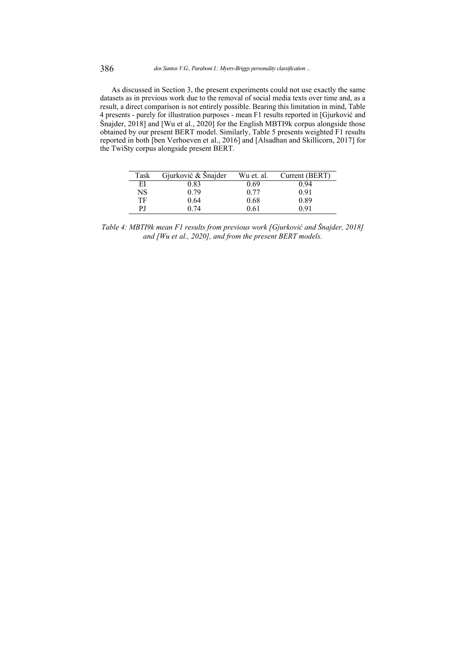As discussed in Section [3,](#page-4-0) the present experiments could not use exactly the same datasets as in previous work due to the removal of social media texts over time and, as a result, a direct comparison is not entirely possible. Bearing this limitation in mind, Table [4](#page-8-0) presents - purely for illustration purposes - mean F1 results reported in [\[Gjurković and](#page-15-9) [Šnajder, 2018\]](#page-15-9) and [\[Wu et al., 2020\]](#page-17-1) for the English MBTI9k corpus alongside those obtained by our present BERT model. Similarly, Table [5](#page-9-0) presents weighted F1 results reported in both [\[ben Verhoeven et al., 2016\]](#page-14-5) and [\[Alsadhan and Skillicorn, 2017\]](#page-14-6) for the TwiSty corpus alongside present BERT.

<span id="page-8-0"></span>

| Task | Gjurković & Šnajder | Wu et. al. | Current (BERT) |
|------|---------------------|------------|----------------|
| EI   | 0.83                | 0.69       |                |
| NS   | 0.79                | 0.77       | 0.91           |
| TF   | 0.64                | 0.68       | 0.89           |
| РJ   | በ 74                | 0.61       |                |

*Table 4: MBTI9k mean F1 results from previous work [\[Gjurković and Šnajder, 2018\]](#page-15-9) and [\[Wu et al., 2020\]](#page-17-1), and from the present BERT models.*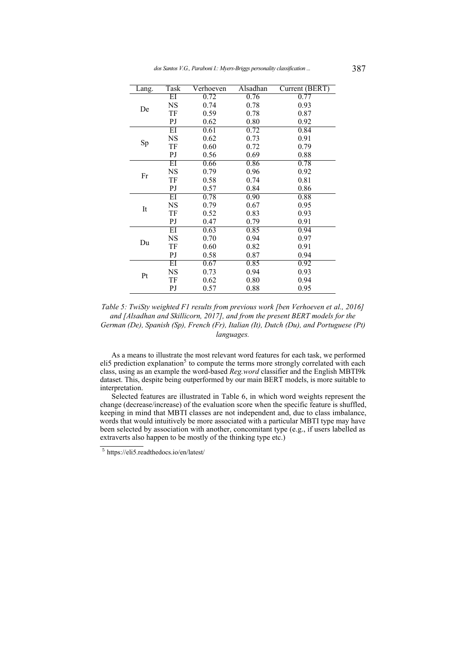<span id="page-9-0"></span>

| Lang. | Task                   | Verhoeven | Alsadhan | Current (BERT) |
|-------|------------------------|-----------|----------|----------------|
|       | $\overline{\text{EI}}$ | 0.72      | 0.76     | 0.77           |
|       | <b>NS</b>              | 0.74      | 0.78     | 0.93           |
| De    | TF                     | 0.59      | 0.78     | 0.87           |
|       | PJ                     | 0.62      | 0.80     | 0.92           |
|       | $\overline{\text{EI}}$ | 0.61      | 0.72     | 0.84           |
|       | <b>NS</b>              | 0.62      | 0.73     | 0.91           |
| Sp    | TF                     | 0.60      | 0.72     | 0.79           |
|       | PJ                     | 0.56      | 0.69     | 0.88           |
|       | $_{\rm EI}$            | 0.66      | 0.86     | 0.78           |
|       | NS                     | 0.79      | 0.96     | 0.92           |
| Fr    | TF                     | 0.58      | 0.74     | 0.81           |
|       | PJ                     | 0.57      | 0.84     | 0.86           |
|       | $_{\rm EI}$            | 0.78      | 0.90     | 0.88           |
|       | NS                     | 0.79      | 0.67     | 0.95           |
| It    | TF                     | 0.52      | 0.83     | 0.93           |
|       | PJ                     | 0.47      | 0.79     | 0.91           |
|       | EI                     | 0.63      | 0.85     | 0.94           |
|       | NS                     | 0.70      | 0.94     | 0.97           |
| Du    | TF                     | 0.60      | 0.82     | 0.91           |
|       | PJ                     | 0.58      | 0.87     | 0.94           |
|       | EI                     | 0.67      | 0.85     | 0.92           |
|       | NS                     | 0.73      | 0.94     | 0.93           |
| Pt    | TF                     | 0.62      | 0.80     | 0.94           |
|       | PJ                     | 0.57      | 0.88     | 0.95           |

*Table 5: TwiSty weighted F1 results from previous work [\[ben Verhoeven et al., 2016\]](#page-14-5) and [\[Alsadhan and Skillicorn, 2017\]](#page-14-6), and from the present BERT models for the German (De), Spanish (Sp), French (Fr), Italian (It), Dutch (Du), and Portuguese (Pt) languages.*

As a means to illustrate the most relevant word features for each task, we performed eli[5](#page-17-2) prediction explanation<sup>5</sup> to compute the terms more strongly correlated with each class, using as an example the word-based *Reg.word* classifier and the English MBTI9k dataset. This, despite being outperformed by our main BERT models, is more suitable to interpretation.

Selected features are illustrated in Table [6,](#page-10-0) in which word weights represent the change (decrease/increase) of the evaluation score when the specific feature is shuffled, keeping in mind that MBTI classes are not independent and, due to class imbalance, words that would intuitively be more associated with a particular MBTI type may have been selected by association with another, concomitant type (e.g., if users labelled as extraverts also happen to be mostly of the thinking type etc.)

<sup>5</sup> https://eli5.readthedocs.io/en/latest/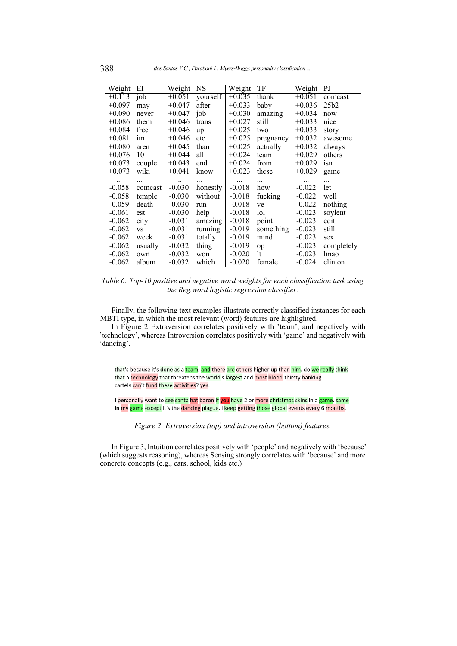<span id="page-10-0"></span>

| Weight   | ΕI                              | Weight   | NS       | Weight   | TF        | Weight   | PJ         |
|----------|---------------------------------|----------|----------|----------|-----------|----------|------------|
| $+0.113$ | $j$ <sub>o</sub> $\overline{b}$ | $+0.051$ | yourself | $+0.035$ | thank     | $+0.051$ | comcast    |
| $+0.097$ | may                             | $+0.047$ | after    | $+0.033$ | baby      | $+0.036$ | 25b2       |
| $+0.090$ | never                           | $+0.047$ | job      | $+0.030$ | amazing   | $+0.034$ | now        |
| $+0.086$ | them                            | $+0.046$ | trans    | $+0.027$ | still     | $+0.033$ | nice       |
| $+0.084$ | free                            | $+0.046$ | up       | $+0.025$ | two       | $+0.033$ | story      |
| $+0.081$ | im                              | $+0.046$ | etc      | $+0.025$ | pregnancy | $+0.032$ | awesome    |
| $+0.080$ | aren                            | $+0.045$ | than     | $+0.025$ | actually  | $+0.032$ | always     |
| $+0.076$ | 10                              | $+0.044$ | all      | $+0.024$ | team      | $+0.029$ | others     |
| $+0.073$ | couple                          | $+0.043$ | end      | $+0.024$ | from      | $+0.029$ | isn        |
| $+0.073$ | wiki                            | $+0.041$ | know     | $+0.023$ | these     | $+0.029$ | game       |
| $\cdots$ | .                               | $\cdots$ |          | $\cdots$ |           | $\cdots$ |            |
| $-0.058$ | comcast                         | $-0.030$ | honestly | $-0.018$ | how       | $-0.022$ | let        |
| $-0.058$ | temple                          | $-0.030$ | without  | $-0.018$ | fucking   | $-0.022$ | well       |
| $-0.059$ | death                           | $-0.030$ | run      | $-0.018$ | ve        | $-0.022$ | nothing    |
| $-0.061$ | est                             | $-0.030$ | help     | $-0.018$ | lol       | $-0.023$ | soylent    |
| $-0.062$ | city                            | $-0.031$ | amazing  | $-0.018$ | point     | $-0.023$ | edit       |
| $-0.062$ | <b>VS</b>                       | $-0.031$ | running  | $-0.019$ | something | $-0.023$ | still      |
| $-0.062$ | week                            | $-0.031$ | totally  | $-0.019$ | mind      | $-0.023$ | sex        |
| $-0.062$ | usually                         | $-0.032$ | thing    | $-0.019$ | op        | $-0.023$ | completely |
| $-0.062$ | own                             | $-0.032$ | won      | $-0.020$ | 1t        | $-0.023$ | lmao       |
| $-0.062$ | album                           | $-0.032$ | which    | $-0.020$ | female    | $-0.024$ | clinton    |

*Table 6: Top-10 positive and negative word weights for each classification task using the Reg.word logistic regression classifier.*

Finally, the following text examples illustrate correctly classified instances for each MBTI type, in which the most relevant (word) features are highlighted.

In Figure [2](#page-10-1) Extraversion correlates positively with 'team', and negatively with 'technology', whereas Introversion correlates positively with 'game' and negatively with 'dancing'.

<span id="page-10-1"></span>that's because it's done as a team, and there are others higher up than him. do we really think that a technology that threatens the world's largest and most blood-thirsty banking cartels can't fund these activities? yes.

i personally want to <mark>see santa hat</mark> baron if <mark>you</mark> have 2 or more christmas skins in a game. same in my game except it's the dancing plague. i keep getting those global events every 6 months.

*Figure 2: Extraversion (top) and introversion (bottom) features.*

In Figure [3,](#page-11-1) Intuition correlates positively with 'people' and negatively with 'because' (which suggests reasoning), whereas Sensing strongly correlates with 'because' and more concrete concepts (e.g., cars, school, kids etc.)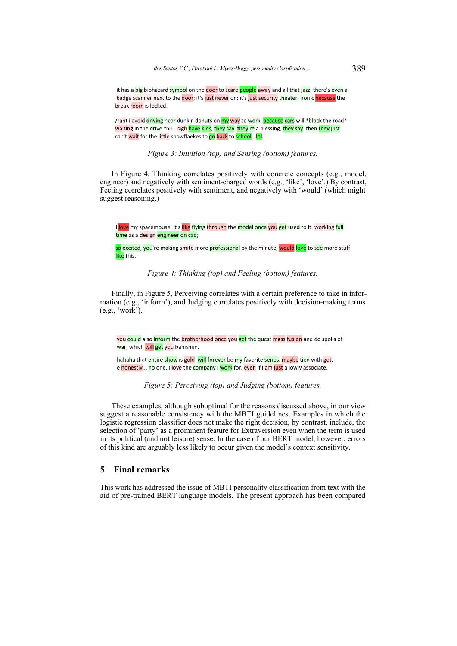<span id="page-11-1"></span>it has a big biohazard symbol on the door to scare people away and all that jazz. there's even a badge scanner next to the door; it's just never on; it's just security theater. ironic because the break room is locked.

/rant i avoid driving near dunkin donuts on my way to work, because cars will \*block the road\* waiting in the drive-thru. sigh have kids, they say. they're a blessing, they say. then they just can't wait for the little snowflaekes to go back to school... lol.

*Figure 3: Intuition (top) and Sensing (bottom) features.*

In Figure [4,](#page-11-2) Thinking correlates positively with concrete concepts (e.g., model, engineer) and negatively with sentiment-charged words (e.g., 'like', 'love'.) By contrast, Feeling correlates positively with sentiment, and negatively with 'would' (which might suggest reasoning.)

<span id="page-11-2"></span>i love my spacemouse. it's like flying through the model once you get used to it. working full time as a design engineer on cad;

<mark>so</mark> excited, <mark>you</mark>'re making smite more <mark>professional</mark> by the minute, <mark>would love</mark> to <mark>see</mark> more stuff <mark>like</mark> this.

*Figure 4: Thinking (top) and Feeling (bottom) features.*

Finally, in Figure [5,](#page-11-3) Perceiving correlates with a certain preference to take in information (e.g., 'inform'), and Judging correlates positively with decision-making terms (e.g., 'work').

<span id="page-11-3"></span>you could also inform the brotherhood once you get the quest mass fusion and do spoils of war, which will get you banished.

hahaha that entire show is gold will forever be my favorite series. maybe tied with got. e honestly... no one. i love the company i work for, even if i am just a lowly associate.

*Figure 5: Perceiving (top) and Judging (bottom) features.*

These examples, although suboptimal for the reasons discussed above, in our view suggest a reasonable consistency with the MBTI guidelines. Examples in which the logistic regression classifier does not make the right decision, by contrast, include, the selection of 'party' as a prominent feature for Extraversion even when the term is used in its political (and not leisure) sense. In the case of our BERT model, however, errors of this kind are arguably less likely to occur given the model's context sensitivity.

## <span id="page-11-0"></span>**5 Final remarks**

This work has addressed the issue of MBTI personality classification from text with the aid of pre-trained BERT language models. The present approach has been compared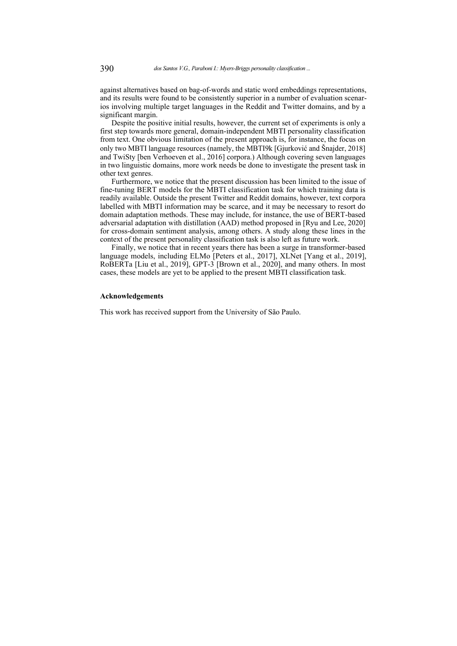against alternatives based on bag-of-words and static word embeddings representations, and its results were found to be consistently superior in a number of evaluation scenarios involving multiple target languages in the Reddit and Twitter domains, and by a significant margin.

Despite the positive initial results, however, the current set of experiments is only a first step towards more general, domain-independent MBTI personality classification from text. One obvious limitation of the present approach is, for instance, the focus on only two MBTI language resources (namely, the MBTI9k [\[Gjurković and Šnajder, 2018\]](#page-15-9) and TwiSty [\[ben Verhoeven et al., 2016\]](#page-14-5) corpora.) Although covering seven languages in two linguistic domains, more work needs be done to investigate the present task in other text genres.

Furthermore, we notice that the present discussion has been limited to the issue of fine-tuning BERT models for the MBTI classification task for which training data is readily available. Outside the present Twitter and Reddit domains, however, text corpora labelled with MBTI information may be scarce, and it may be necessary to resort do domain adaptation methods. These may include, for instance, the use of BERT-based adversarial adaptation with distillation (AAD) method proposed in [\[Ryu and Lee, 2020\]](#page-16-15) for cross-domain sentiment analysis, among others. A study along these lines in the context of the present personality classification task is also left as future work.

Finally, we notice that in recent years there has been a surge in transformer-based language models, including ELMo [\[Peters et al., 2017\]](#page-16-16), XLNet [\[Yang et al., 2019\]](#page-17-4), RoBERTa [\[Liu et al., 2019\]](#page-16-17), GPT-3 [\[Brown et al., 2020\]](#page-14-13), and many others. In most cases, these models are yet to be applied to the present MBTI classification task.

### **Acknowledgements**

This work has received support from the University of São Paulo.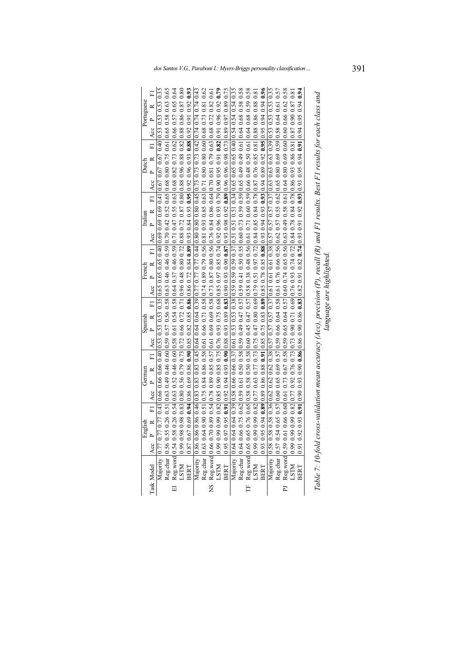<span id="page-13-0"></span>

| Portuguese<br>Dutch | $\overline{F}$<br>FI Acc P R FI Acc P R FI Acc P R FI Acc P R FI Acc P R FI Acc P R | 0.77 0.43  0.66 0.66 0.66 0.40  0.53 0.53 0.53 0.53 0.65 0.65 0.66 0.40  0.69 0.69 0.61  0.67 0.67 0.67 0.40  0.53 0.53 0.53 0.53 0.53 | 0.26 0.51  0.63 0.49 0.46 0.60  0.59 0.57 0.56 0.58  0.63 0.46 0.59  0.70 0.42 0.52 0.65  0.68 0.80 0.75 0.61  0.65 0.58 0.63 0.65<br>0.26 0.54  0.63 0.52 0.46 0.60  0.58 0.61 0.54 0.58  0.64 0.37 0.46 0.59  0.71 0.47 0.55 0. | 0.98 0.82 0.89 0.89 0.79 0.79 0.66 0.72 0.71 0.96 0.48 0.89 0.72 0.88 0.72 0.87 0.80 0.88 0.96 0.88 0.82 0.88 0.87 0.80 |           |                    | $0.90\,0.51\,0.75\,0.84\,0.86\,0.58\,0.65\,0.70\,0.56\,0.71\,0.89\,0.79\,0.56\,0.81\,0.93\,0.85\,0.68\,0.63\,0.71\,0.80\,0.80\,0.60\,0.68\,0.73\,0.81\,0.62$ | 0.82 0.54   0.78 0.89 0.85 0.57   0.61 0.69 0.69 0.58   0.73 0.87 0.80 0.56   0.76 0.84 0.86 4   0.70 0.81 0.79 0.63   0.68 0.72 0.82 0.61 | 0.99 0.82 0.88 0.90 0.85 0.75 0.76 0.93 0.75 0.68 0.85 0.74 0.92 0.96 0.93 0.79 0.90 0.95 0.91 0.82 0.91 0.96 0.92 0.52 0.79 |                                                                 |                                            | $0.76$ $0.58$ $0.58$ $0.58$ $0.50$ $0.88$ $0.50$ $0.45$ $0.47$ $0.57$ $0.58$ $0.38$ $0.58$ $0.59$ $0.45$ $0.45$ $0.45$ $0.45$ $0.45$ $0.59$ $0.59$ $0.58$ $0.58$ $0.59$ $0.58$ $0.58$ $0.59$ $0.58$ $0.58$ $0.59$ $0.58$ | 0.99 0.82 0.77 0.63 0.77 0.77 0.77 0.80 0.47 0.80 0.69 0.79 0.51 0.84 0.84 0.84 0.78 0.84 0.78 0.87 0.76 0.85 0.80 0.88 0.88 0.88 0.81 |           | 0.58 0.36 0.62 0.62 0.62 0.38 0.57 0.57 0.57 0.51 0.61 0.61 0.61 0.38 0.57 0.57 0.57 0.37 0.63 0.63 0.63 0.53 0.53 0.53 0.53 0.55 | 0.65 0.57   0.60 0.65 0.69 0.57   0.59 0.66 0.66 0.64 0.76 0.66 0.56   0.57 0.57 0.55 0.62   0.65 0.80 0.69   0.59   0.58 0.64 0.61 0.57 | 0.66 0.60 0.61 0.73 0.67 0.58 0.59 0.65 0.64 0.57 0.60 0.74 0.65 0.56 0.59 0.49 0.58 0.61 0.64 0.80 0.69 0.60 0.60 0.60 0.62 0.58 | the the condition of the condition of the condition of the condition of the condition of the condition of the condition of the condition of the condition of the condition of the condition of the condition of the condition | Table 7: 10-fold cross-validation mean accuracy (Acc), precision (P), recall (R) and F1 results. Best F1 results for each class and |
|---------------------|-------------------------------------------------------------------------------------|----------------------------------------------------------------------------------------------------------------------------------------|-----------------------------------------------------------------------------------------------------------------------------------------------------------------------------------------------------------------------------------|-------------------------------------------------------------------------------------------------------------------------|-----------|--------------------|--------------------------------------------------------------------------------------------------------------------------------------------------------------|--------------------------------------------------------------------------------------------------------------------------------------------|------------------------------------------------------------------------------------------------------------------------------|-----------------------------------------------------------------|--------------------------------------------|--------------------------------------------------------------------------------------------------------------------------------------------------------------------------------------------------------------------------|----------------------------------------------------------------------------------------------------------------------------------------|-----------|-----------------------------------------------------------------------------------------------------------------------------------|------------------------------------------------------------------------------------------------------------------------------------------|-----------------------------------------------------------------------------------------------------------------------------------|-------------------------------------------------------------------------------------------------------------------------------------------------------------------------------------------------------------------------------|-------------------------------------------------------------------------------------------------------------------------------------|
| Italian             |                                                                                     |                                                                                                                                        |                                                                                                                                                                                                                                   |                                                                                                                         |           |                    |                                                                                                                                                              |                                                                                                                                            |                                                                                                                              |                                                                 |                                            |                                                                                                                                                                                                                          |                                                                                                                                        |           |                                                                                                                                   |                                                                                                                                          |                                                                                                                                   |                                                                                                                                                                                                                               |                                                                                                                                     |
| French              |                                                                                     |                                                                                                                                        |                                                                                                                                                                                                                                   |                                                                                                                         |           |                    |                                                                                                                                                              |                                                                                                                                            |                                                                                                                              |                                                                 |                                            |                                                                                                                                                                                                                          |                                                                                                                                        |           |                                                                                                                                   |                                                                                                                                          |                                                                                                                                   |                                                                                                                                                                                                                               |                                                                                                                                     |
| Spanish             |                                                                                     |                                                                                                                                        |                                                                                                                                                                                                                                   |                                                                                                                         |           |                    |                                                                                                                                                              |                                                                                                                                            |                                                                                                                              |                                                                 |                                            |                                                                                                                                                                                                                          |                                                                                                                                        |           |                                                                                                                                   |                                                                                                                                          |                                                                                                                                   |                                                                                                                                                                                                                               |                                                                                                                                     |
| German              |                                                                                     |                                                                                                                                        |                                                                                                                                                                                                                                   |                                                                                                                         |           |                    |                                                                                                                                                              |                                                                                                                                            |                                                                                                                              |                                                                 |                                            |                                                                                                                                                                                                                          |                                                                                                                                        |           |                                                                                                                                   |                                                                                                                                          |                                                                                                                                   |                                                                                                                                                                                                                               |                                                                                                                                     |
| lish<br>Engl        | $\approx$<br>Acc P                                                                  | Majority 0.77 0.77                                                                                                                     |                                                                                                                                                                                                                                   | Reg.char   0.56 0.55 (<br>Reg.word 0.54 0.58 (<br>LSTM   0.99 0.98 0                                                    | 0.87 0.67 | Majority 0.86 0.86 | Reg.char 0.63 0.64                                                                                                                                           |                                                                                                                                            |                                                                                                                              |                                                                 | Majority $0.640.64$<br>Reg.char $0.640.66$ |                                                                                                                                                                                                                          |                                                                                                                                        | 0.93 0.95 | Majority 0.58 0.58                                                                                                                | Reg.char 0.57 0.54                                                                                                                       |                                                                                                                                   | 0.91 0.92                                                                                                                                                                                                                     |                                                                                                                                     |
|                     | Task Model                                                                          |                                                                                                                                        | $\Xi$                                                                                                                                                                                                                             |                                                                                                                         | BERT      |                    |                                                                                                                                                              |                                                                                                                                            |                                                                                                                              | NS Reg.word 0.66 0.70 (<br>LSTM 0.99 0.99 0<br>BERT 0.95 0.97 ( |                                            |                                                                                                                                                                                                                          | TF Reg.word $0.65 0.65$<br>LSTM $0.99 0.99$                                                                                            | BERT      |                                                                                                                                   |                                                                                                                                          | PJ Reg.word 0.59 0.61<br>LSTM 0.99 0.99                                                                                           | <b>BERT</b>                                                                                                                                                                                                                   |                                                                                                                                     |

| そころ<br>こうこう<br>$\sim +0.4$<br>ן שייש שש י<br>$\ddot{\phantom{0}}$<br>I<br>$\frac{1}{2}$<br>ì<br><b>.</b><br><b>Property</b><br>$(D)$ and $F1$<br>$\sim$ (B) and $\sim$<br>į<br>$\cdot$<br><b>Conner</b><br>$\ddot{\phantom{0}}$<br>í<br>i<br>$\frac{1}{2}$<br>$\sum_{i=1}^n$<br>$\frac{5}{2}$<br>Table 7: 10-1 | $\ddot{\phantom{a}}$ |
|----------------------------------------------------------------------------------------------------------------------------------------------------------------------------------------------------------------------------------------------------------------------------------------------------------------|----------------------|
|----------------------------------------------------------------------------------------------------------------------------------------------------------------------------------------------------------------------------------------------------------------------------------------------------------------|----------------------|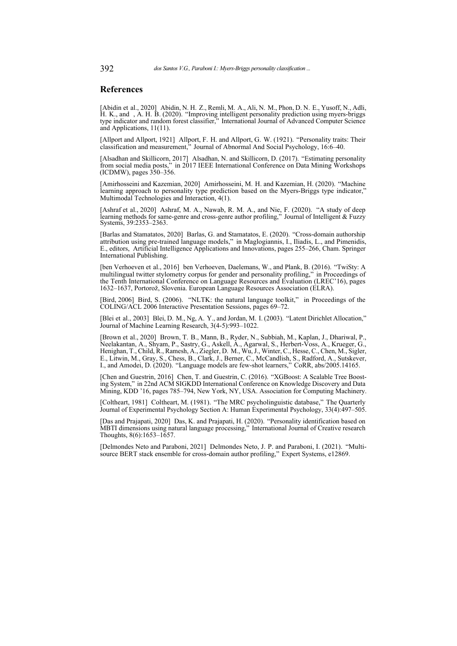### **References**

<span id="page-14-8"></span>[Abidin et al., 2020] Abidin, N. H. Z., Remli, M. A., Ali, N. M., Phon, D. N. E., Yusoff, N., Adli, H. K., and , A. H. B. (2020). "Improving intelligent personality prediction using myers-briggs type indicator and random forest classifier," International Journal of Advanced Computer Science and Applications, 11(11).

<span id="page-14-0"></span>[Allport and Allport, 1921] Allport, F. H. and Allport, G. W. (1921). "Personality traits: Their classification and measurement," Journal of Abnormal And Social Psychology, 16:6–40.

<span id="page-14-6"></span>[Alsadhan and Skillicorn, 2017] Alsadhan, N. and Skillicorn, D. (2017). "Estimating personality from social media posts," in 2017 IEEE International Conference on Data Mining Workshops (ICDMW), pages 350–356.

<span id="page-14-9"></span>[Amirhosseini and Kazemian, 2020] Amirhosseini, M. H. and Kazemian, H. (2020). "Machine learning approach to personality type prediction based on the Myers-Briggs type indicator," Multimodal Technologies and Interaction, 4(1).

<span id="page-14-11"></span>[Ashraf et al., 2020] Ashraf, M. A., Nawab, R. M. A., and Nie, F. (2020). "A study of deep learning methods for same-genre and cross-genre author profiling," Journal of Intelligent & Fuzzy Systems, 39:2353–2363.

<span id="page-14-2"></span>[Barlas and Stamatatos, 2020] Barlas, G. and Stamatatos, E. (2020). "Cross-domain authorship attribution using pre-trained language models," in Maglogiannis, I., Iliadis, L., and Pimenidis, E., editors, Artificial Intelligence Applications and Innovations, pages 255–266, Cham. Springer International Publishing.

<span id="page-14-5"></span>[ben Verhoeven et al., 2016] ben Verhoeven, Daelemans, W., and Plank, B. (2016). "TwiSty: A multilingual twitter stylometry corpus for gender and personality profiling," in Proceedings of the Tenth International Conference on Language Resources and Evaluation (LREC'16), pages 1632–1637, Portorož, Slovenia. European Language Resources Association (ELRA).

<span id="page-14-12"></span>[Bird, 2006] Bird, S. (2006). "NLTK: the natural language toolkit," in Proceedings of the COLING/ACL 2006 Interactive Presentation Sessions, pages 69–72.

<span id="page-14-4"></span>[Blei et al., 2003] Blei, D. M., Ng, A. Y., and Jordan, M. I. (2003). "Latent Dirichlet Allocation," Journal of Machine Learning Research, 3(4-5):993–1022.

<span id="page-14-13"></span>[Brown et al., 2020] Brown, T. B., Mann, B., Ryder, N., Subbiah, M., Kaplan, J., Dhariwal, P., Neelakantan, A., Shyam, P., Sastry, G., Askell, A., Agarwal, S., Herbert-Voss, A., Krueger, G., Henighan, T., Child, R., Ramesh, A., Ziegler, D. M., Wu, J., Winter, C., Hesse, C., Chen, M., Sigler, E., Litwin, M., Gray, S., Chess, B., Clark, J., Berner, C., McCandlish, S., Radford, A., Sutskever, I., and Amodei, D. (2020). "Language models are few-shot learners," CoRR, abs/2005.14165.

<span id="page-14-10"></span>[Chen and Guestrin, 2016] Chen, T. and Guestrin, C. (2016). "XGBoost: A Scalable Tree Boosting System," in 22nd ACM SIGKDD International Conference on Knowledge Discovery and Data Mining, KDD '16, pages 785–794, New York, NY, USA. Association for Computing Machinery.

<span id="page-14-3"></span>[Coltheart, 1981] Coltheart, M. (1981). "The MRC psycholinguistic database," The Quarterly Journal of Experimental Psychology Section A: Human Experimental Psychology, 33(4):497–505.

<span id="page-14-7"></span>[Das and Prajapati, 2020] Das, K. and Prajapati, H. (2020). "Personality identification based on MBTI dimensions using natural language processing," International Journal of Creative research Thoughts, 8(6):1653–1657.

<span id="page-14-1"></span>[Delmondes Neto and Paraboni, 2021] Delmondes Neto, J. P. and Paraboni, I. (2021). "Multisource BERT stack ensemble for cross-domain author profiling," Expert Systems, e12869.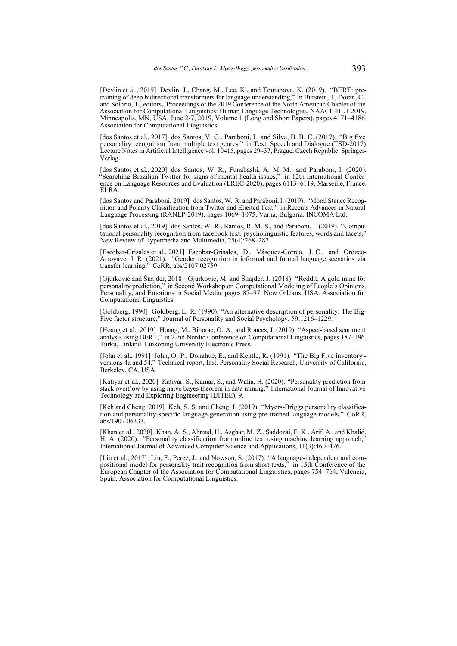<span id="page-15-7"></span>[Devlin et al., 2019] Devlin, J., Chang, M., Lee, K., and Toutanova, K. (2019). "BERT: pretraining of deep bidirectional transformers for language understanding," in Burstein, J., Doran, C., and Solorio, T., editors, Proceedings of the 2019 Conference of the North American Chapter of the Association for Computational Linguistics: Human Language Technologies, NAACL-HLT 2019, Minneapolis, MN, USA, June 2-7, 2019, Volume 1 (Long and Short Papers), pages 4171–4186. Association for Computational Linguistics.

<span id="page-15-5"></span>[dos Santos et al., 2017] dos Santos, V. G., Paraboni, I., and Silva, B. B. C. (2017). "Big five personality recognition from multiple text genres," in Text, Speech and Dialogue (TSD-2017) Lecture Notes in Artificial Intelligence vol. 10415, pages 29–37, Prague, Czech Republic. Springer-Verlag.

<span id="page-15-2"></span>[dos Santos et al., 2020] dos Santos, W. R., Funabashi, A. M. M., and Paraboni, I. (2020). "Searching Brazilian Twitter for signs of mental health issues," in 12th International Conference on Language Resources and Evaluation (LREC-2020), pages 6113–6119, Marseille, France. ELRA.

<span id="page-15-1"></span>[dos Santos and Paraboni, 2019] dos Santos, W. R. and Paraboni, I. (2019). "Moral Stance Recognition and Polarity Classification from Twitter and Elicited Text," in Recents Advances in Natural Language Processing (RANLP-2019), pages 1069–1075, Varna, Bulgaria. INCOMA Ltd.

<span id="page-15-6"></span>[dos Santos et al., 2019] dos Santos, W. R., Ramos, R. M. S., and Paraboni, I. (2019). "Computational personality recognition from facebook text: psycholinguistic features, words and facets,' New Review of Hypermedia and Multimedia, 25(4):268–287.

<span id="page-15-13"></span>[Escobar-Grisales et al., 2021] Escobar-Grisales, D., Vásquez-Correa, J. C., and Orozco-Arroyave, J. R. (2021). "Gender recognition in informal and formal language scenarios via transfer learning," CoRR, abs/2107.02759.

<span id="page-15-9"></span>[Gjurković and Šnajder, 2018] Gjurković, M. and Šnajder, J. (2018). "Reddit: A gold mine for personality prediction," in Second Workshop on Computational Modeling of People's Opinions, Personality, and Emotions in Social Media, pages 87–97, New Orleans, USA. Association for Computational Linguistics.

<span id="page-15-0"></span>[Goldberg, 1990] Goldberg, L. R. (1990). "An alternative description of personality: The Big-Five factor structure," Journal of Personality and Social Psychology, 59:1216–1229.

<span id="page-15-8"></span>[Hoang et al., 2019] Hoang, M., Bihorac, O. A., and Rouces, J. (2019). "Aspect-based sentiment analysis using BERT," in 22nd Nordic Conference on Computational Linguistics, pages 187–196, Turku, Finland. Linköping University Electronic Press.

<span id="page-15-3"></span>[John et al., 1991] John, O. P., Donahue, E., and Kentle, R. (1991). "The Big Five inventory versions 4a and 54," Technical report, Inst. Personality Social Research, University of California, Berkeley, CA, USA.

<span id="page-15-11"></span>[Katiyar et al., 2020] Katiyar, S., Kumar, S., and Walia, H. (2020). "Personality prediction from stack overflow by using naive bayes theorem in data mining," International Journal of Innovative Technology and Exploring Engineering (IJITEE), 9.

<span id="page-15-10"></span>[Keh and Cheng, 2019] Keh, S. S. and Cheng, I. (2019). "Myers-Briggs personality classification and personality-specific language generation using pre-trained language models," CoRR, abs/1907.06333.

<span id="page-15-12"></span>[Khan et al., 2020] Khan, A. S., Ahmad, H., Asghar, M. Z., Saddozai, F. K., Arif, A., and Khalid, H. A. (2020). "Personality classification from online text using machine learning approach," International Journal of Advanced Computer Science and Applications, 11(3):460–476.

<span id="page-15-4"></span>[Liu et al., 2017] Liu, F., Perez, J., and Nowson, S. (2017). "A language-independent and compositional model for personality trait recognition from short texts," in 15th Conference of the European Chapter of the Association for Computational Linguistics, pages 754–764, Valencia, Spain. Association for Computational Linguistics.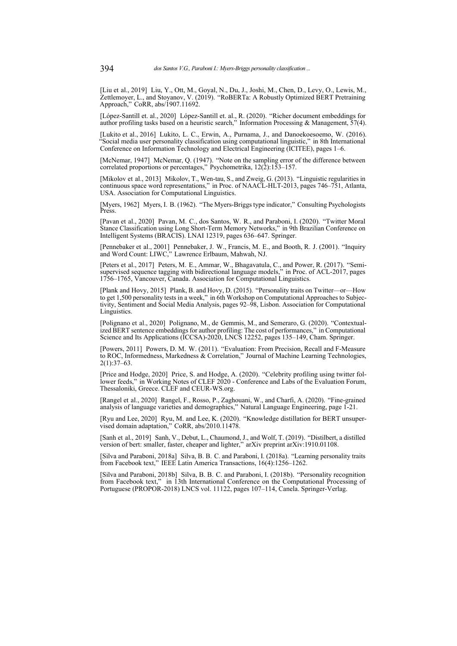<span id="page-16-17"></span>[Liu et al., 2019] Liu, Y., Ott, M., Goyal, N., Du, J., Joshi, M., Chen, D., Levy, O., Lewis, M., Zettlemoyer, L., and Stoyanov, V. (2019). "RoBERTa: A Robustly Optimized BERT Pretraining Approach," CoRR, abs/1907.11692.

<span id="page-16-5"></span>[López-Santill et. al., 2020] López-Santill et. al., R. (2020). "Richer document embeddings for author profiling tasks based on a heuristic search," Information Processing & Management, 57(4).

<span id="page-16-9"></span>[Lukito et al., 2016] Lukito, L. C., Erwin, A., Purnama, J., and Danoekoesoemo, W. (2016). "Social media user personality classification using computational linguistic," in 8th International Conference on Information Technology and Electrical Engineering (ICITEE), pages 1–6.

<span id="page-16-14"></span>[McNemar, 1947] McNemar, Q. (1947). "Note on the sampling error of the difference between correlated proportions or percentages," Psychometrika, 12(2):153–157.

<span id="page-16-7"></span>[Mikolov et al., 2013] Mikolov, T., Wen-tau, S., and Zweig, G. (2013). "Linguistic regularities in continuous space word representations," in Proc. of NAACL-HLT-2013, pages 746–751, Atlanta, USA. Association for Computational Linguistics.

<span id="page-16-0"></span>[Myers, 1962] Myers, I. B. (1962). "The Myers-Briggs type indicator," Consulting Psychologists Press.

<span id="page-16-11"></span>[Pavan et al., 2020] Pavan, M. C., dos Santos, W. R., and Paraboni, I. (2020). "Twitter Moral Stance Classification using Long Short-Term Memory Networks," in 9th Brazilian Conference on Intelligent Systems (BRACIS). LNAI 12319, pages 636–647. Springer.

<span id="page-16-8"></span>[Pennebaker et al., 2001] Pennebaker, J. W., Francis, M. E., and Booth, R. J. (2001). "Inquiry and Word Count: LIWC," Lawrence Erlbaum, Mahwah, NJ.

<span id="page-16-16"></span>[Peters et al., 2017] Peters, M. E., Ammar, W., Bhagavatula, C., and Power, R. (2017). "Semisupervised sequence tagging with bidirectional language models," in Proc. of ACL-2017, pages 1756–1765, Vancouver, Canada. Association for Computational Linguistics.

<span id="page-16-1"></span>[Plank and Hovy, 2015] Plank, B. and Hovy, D. (2015). "Personality traits on Twitter—or—How to get 1,500 personality tests in a week," in 6th Workshop on Computational Approaches to Subjectivity, Sentiment and Social Media Analysis, pages 92–98, Lisbon. Association for Computational Linguistics.

<span id="page-16-3"></span>[Polignano et al., 2020] Polignano, M., de Gemmis, M., and Semeraro, G. (2020). "Contextualized BERT sentence embeddings for author profiling: The cost of performances," in Computational Science and Its Applications (ICCSA)-2020, LNCS 12252, pages 135–149, Cham. Springer.

<span id="page-16-13"></span>[Powers, 2011] Powers, D. M. W. (2011). "Evaluation: From Precision, Recall and F-Measure to ROC, Informedness, Markedness & Correlation," Journal of Machine Learning Technologies,  $2(1):37-63.$ 

<span id="page-16-4"></span>[Price and Hodge, 2020] Price, S. and Hodge, A. (2020). "Celebrity profiling using twitter follower feeds," in Working Notes of CLEF 2020 - Conference and Labs of the Evaluation Forum, Thessaloniki, Greece. CLEF and CEUR-WS.org.

<span id="page-16-2"></span>[Rangel et al., 2020] Rangel, F., Rosso, P., Zaghouani, W., and Charfi, A. (2020). "Fine-grained analysis of language varieties and demographics," Natural Language Engineering, page 1-21.

<span id="page-16-15"></span>[Ryu and Lee, 2020] Ryu, M. and Lee, K. (2020). "Knowledge distillation for BERT unsupervised domain adaptation," CoRR, abs/2010.11478.

<span id="page-16-10"></span>[Sanh et al., 2019] Sanh, V., Debut, L., Chaumond, J., and Wolf, T. (2019). "Distilbert, a distilled version of bert: smaller, faster, cheaper and lighter," arXiv preprint arXiv:1910.01108.

<span id="page-16-6"></span>[Silva and Paraboni, 2018a] Silva, B. B. C. and Paraboni, I. (2018a). "Learning personality traits from Facebook text," IEEE Latin America Transactions, 16(4):1256–1262.

<span id="page-16-12"></span>[Silva and Paraboni, 2018b] Silva, B. B. C. and Paraboni, I. (2018b). "Personality recognition from Facebook text," in 13th International Conference on the Computational Processing of Portuguese (PROPOR-2018) LNCS vol. 11122, pages 107–114, Canela. Springer-Verlag.